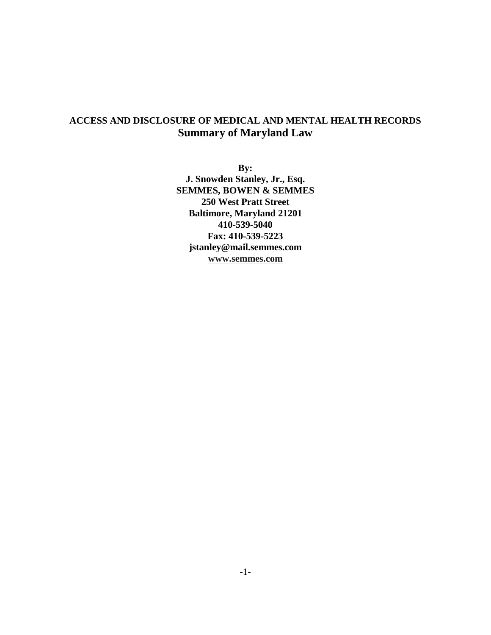# **ACCESS AND DISCLOSURE OF MEDICAL AND MENTAL HEALTH RECORDS Summary of Maryland Law**

**By: J. Snowden Stanley, Jr., Esq. SEMMES, BOWEN & SEMMES 250 West Pratt Street Baltimore, Maryland 21201 410-539-5040 Fax: 410-539-5223 jstanley@mail.semmes.com www.semmes.com**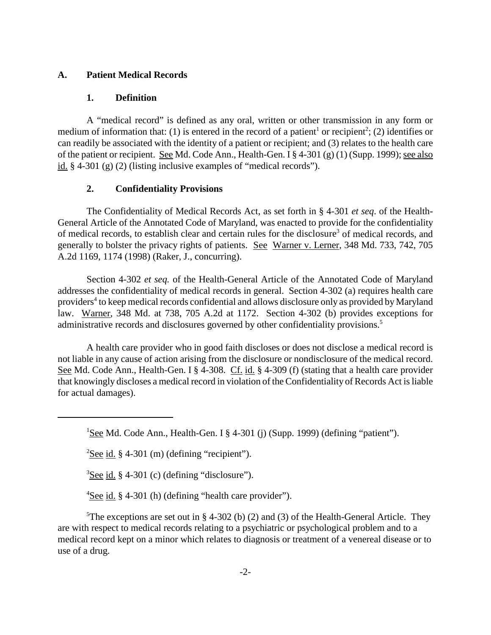### **A. Patient Medical Records**

#### **1. Definition**

A "medical record" is defined as any oral, written or other transmission in any form or medium of information that: (1) is entered in the record of a patient<sup>1</sup> or recipient<sup>2</sup>; (2) identifies or can readily be associated with the identity of a patient or recipient; and (3) relates to the health care of the patient or recipient. See Md. Code Ann., Health-Gen. I § 4-301 (g) (1) (Supp. 1999); see also id. § 4-301 (g) (2) (listing inclusive examples of "medical records").

#### **2. Confidentiality Provisions**

The Confidentiality of Medical Records Act, as set forth in § 4-301 *et seq*. of the Health-General Article of the Annotated Code of Maryland, was enacted to provide for the confidentiality of medical records, to establish clear and certain rules for the disclosure<sup>3</sup> of medical records, and generally to bolster the privacy rights of patients. See Warner v. Lerner, 348 Md. 733, 742, 705 A.2d 1169, 1174 (1998) (Raker, J., concurring).

Section 4-302 *et seq.* of the Health-General Article of the Annotated Code of Maryland addresses the confidentiality of medical records in general. Section 4-302 (a) requires health care providers<sup>4</sup> to keep medical records confidential and allows disclosure only as provided by Maryland law. Warner, 348 Md. at 738, 705 A.2d at 1172. Section 4-302 (b) provides exceptions for administrative records and disclosures governed by other confidentiality provisions.<sup>5</sup>

A health care provider who in good faith discloses or does not disclose a medical record is not liable in any cause of action arising from the disclosure or nondisclosure of the medical record. See Md. Code Ann., Health-Gen. I § 4-308. Cf. id. § 4-309 (f) (stating that a health care provider that knowingly discloses a medical record in violation of the Confidentiality of Records Act is liable for actual damages).

<sup>1</sup>See Md. Code Ann., Health-Gen. I § 4-301 (j) (Supp. 1999) (defining "patient").

 $2$ See id. § 4-301 (m) (defining "recipient").

 $3$ See id. § 4-301 (c) (defining "disclosure").

 $4$ See id. § 4-301 (h) (defining "health care provider").

<sup>5</sup>The exceptions are set out in § 4-302 (b) (2) and (3) of the Health-General Article. They are with respect to medical records relating to a psychiatric or psychological problem and to a medical record kept on a minor which relates to diagnosis or treatment of a venereal disease or to use of a drug.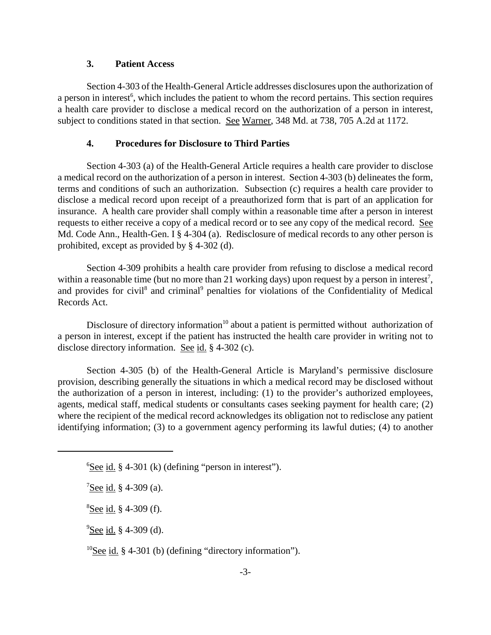### **3. Patient Access**

Section 4-303 of the Health-General Article addresses disclosures upon the authorization of a person in interest<sup>6</sup>, which includes the patient to whom the record pertains. This section requires a health care provider to disclose a medical record on the authorization of a person in interest, subject to conditions stated in that section. See Warner, 348 Md. at 738, 705 A.2d at 1172.

#### **4. Procedures for Disclosure to Third Parties**

Section 4-303 (a) of the Health-General Article requires a health care provider to disclose a medical record on the authorization of a person in interest. Section 4-303 (b) delineates the form, terms and conditions of such an authorization. Subsection (c) requires a health care provider to disclose a medical record upon receipt of a preauthorized form that is part of an application for insurance. A health care provider shall comply within a reasonable time after a person in interest requests to either receive a copy of a medical record or to see any copy of the medical record. See Md. Code Ann., Health-Gen. I § 4-304 (a). Redisclosure of medical records to any other person is prohibited, except as provided by § 4-302 (d).

Section 4-309 prohibits a health care provider from refusing to disclose a medical record within a reasonable time (but no more than 21 working days) upon request by a person in interest<sup>7</sup>, and provides for civil<sup>8</sup> and criminal<sup>9</sup> penalties for violations of the Confidentiality of Medical Records Act.

Disclosure of directory information<sup>10</sup> about a patient is permitted without authorization of a person in interest, except if the patient has instructed the health care provider in writing not to disclose directory information. See id. § 4-302 (c).

Section 4-305 (b) of the Health-General Article is Maryland's permissive disclosure provision, describing generally the situations in which a medical record may be disclosed without the authorization of a person in interest, including: (1) to the provider's authorized employees, agents, medical staff, medical students or consultants cases seeking payment for health care; (2) where the recipient of the medical record acknowledges its obligation not to redisclose any patient identifying information; (3) to a government agency performing its lawful duties; (4) to another

 $^{10}$ See id. § 4-301 (b) (defining "directory information").

 ${}^{6}$ See id. § 4-301 (k) (defining "person in interest").

 $7$ See id. § 4-309 (a).

<sup>&</sup>lt;sup>8</sup>See id. § 4-309 (f).

<sup>&</sup>lt;sup>9</sup>See id. § 4-309 (d).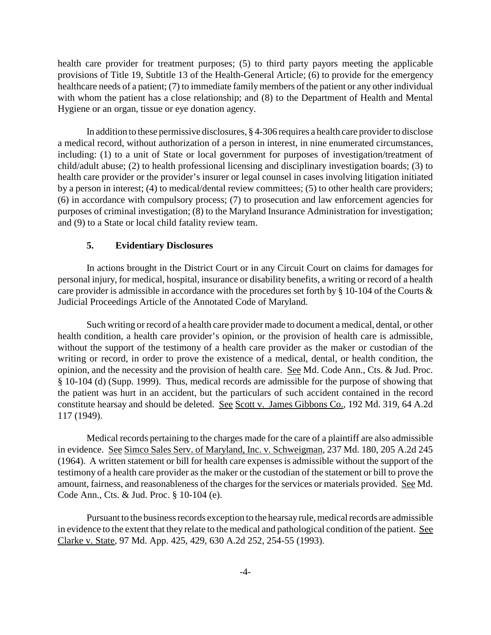health care provider for treatment purposes; (5) to third party payors meeting the applicable provisions of Title 19, Subtitle 13 of the Health-General Article; (6) to provide for the emergency healthcare needs of a patient; (7) to immediate family members of the patient or any other individual with whom the patient has a close relationship; and (8) to the Department of Health and Mental Hygiene or an organ, tissue or eye donation agency.

In addition to these permissive disclosures, § 4-306 requires a health care provider to disclose a medical record, without authorization of a person in interest, in nine enumerated circumstances, including: (1) to a unit of State or local government for purposes of investigation/treatment of child/adult abuse; (2) to health professional licensing and disciplinary investigation boards; (3) to health care provider or the provider's insurer or legal counsel in cases involving litigation initiated by a person in interest; (4) to medical/dental review committees; (5) to other health care providers; (6) in accordance with compulsory process; (7) to prosecution and law enforcement agencies for purposes of criminal investigation; (8) to the Maryland Insurance Administration for investigation; and (9) to a State or local child fatality review team.

#### **5. Evidentiary Disclosures**

In actions brought in the District Court or in any Circuit Court on claims for damages for personal injury, for medical, hospital, insurance or disability benefits, a writing or record of a health care provider is admissible in accordance with the procedures set forth by § 10-104 of the Courts & Judicial Proceedings Article of the Annotated Code of Maryland.

Such writing or record of a health care provider made to document a medical, dental, or other health condition, a health care provider's opinion, or the provision of health care is admissible, without the support of the testimony of a health care provider as the maker or custodian of the writing or record, in order to prove the existence of a medical, dental, or health condition, the opinion, and the necessity and the provision of health care. See Md. Code Ann., Cts. & Jud. Proc. § 10-104 (d) (Supp. 1999). Thus, medical records are admissible for the purpose of showing that the patient was hurt in an accident, but the particulars of such accident contained in the record constitute hearsay and should be deleted. See Scott v. James Gibbons Co., 192 Md. 319, 64 A.2d 117 (1949).

Medical records pertaining to the charges made for the care of a plaintiff are also admissible in evidence. See Simco Sales Serv. of Maryland, Inc. v. Schweigman, 237 Md. 180, 205 A.2d 245 (1964). A written statement or bill for health care expenses is admissible without the support of the testimony of a health care provider as the maker or the custodian of the statement or bill to prove the amount, fairness, and reasonableness of the charges for the services or materials provided. See Md. Code Ann., Cts. & Jud. Proc. § 10-104 (e).

Pursuant to the business records exception to the hearsay rule, medical records are admissible in evidence to the extent that they relate to the medical and pathological condition of the patient. See Clarke v. State, 97 Md. App. 425, 429, 630 A.2d 252, 254-55 (1993).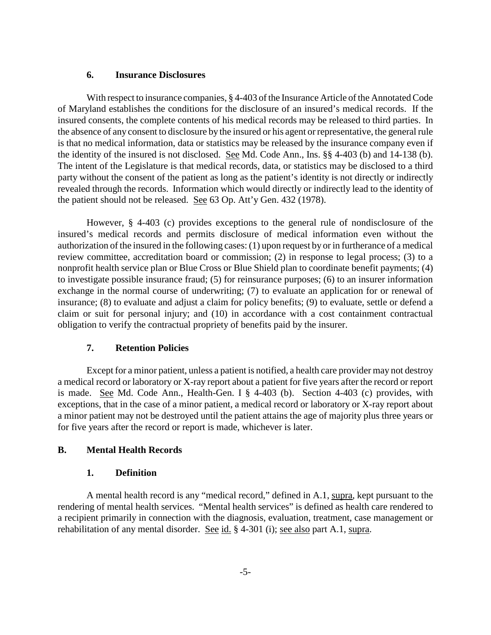#### **6. Insurance Disclosures**

With respect to insurance companies, § 4-403 of the Insurance Article of the Annotated Code of Maryland establishes the conditions for the disclosure of an insured's medical records. If the insured consents, the complete contents of his medical records may be released to third parties. In the absence of any consent to disclosure by the insured or his agent or representative, the general rule is that no medical information, data or statistics may be released by the insurance company even if the identity of the insured is not disclosed.See Md. Code Ann., Ins. §§ 4-403 (b) and 14-138 (b). The intent of the Legislature is that medical records, data, or statistics may be disclosed to a third party without the consent of the patient as long as the patient's identity is not directly or indirectly revealed through the records. Information which would directly or indirectly lead to the identity of the patient should not be released. See 63 Op. Att'y Gen. 432 (1978).

However, § 4-403 (c) provides exceptions to the general rule of nondisclosure of the insured's medical records and permits disclosure of medical information even without the authorization of the insured in the following cases: (1) upon request by or in furtherance of a medical review committee, accreditation board or commission; (2) in response to legal process; (3) to a nonprofit health service plan or Blue Cross or Blue Shield plan to coordinate benefit payments; (4) to investigate possible insurance fraud; (5) for reinsurance purposes; (6) to an insurer information exchange in the normal course of underwriting; (7) to evaluate an application for or renewal of insurance; (8) to evaluate and adjust a claim for policy benefits; (9) to evaluate, settle or defend a claim or suit for personal injury; and (10) in accordance with a cost containment contractual obligation to verify the contractual propriety of benefits paid by the insurer.

#### **7. Retention Policies**

Except for a minor patient, unless a patient is notified, a health care provider may not destroy a medical record or laboratory or X-ray report about a patient for five years after the record or report is made. See Md. Code Ann., Health-Gen. I § 4-403 (b). Section 4-403 (c) provides, with exceptions, that in the case of a minor patient, a medical record or laboratory or X-ray report about a minor patient may not be destroyed until the patient attains the age of majority plus three years or for five years after the record or report is made, whichever is later.

### **B. Mental Health Records**

#### **1. Definition**

A mental health record is any "medical record," defined in A.1, supra, kept pursuant to the rendering of mental health services. "Mental health services" is defined as health care rendered to a recipient primarily in connection with the diagnosis, evaluation, treatment, case management or rehabilitation of any mental disorder. See id. § 4-301 (i); see also part A.1, supra.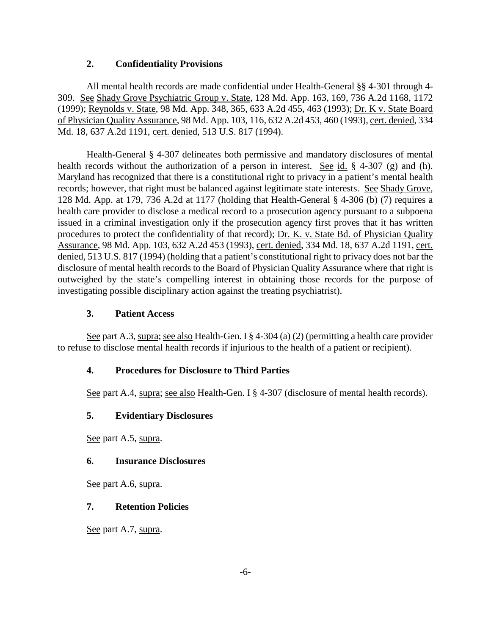### **2. Confidentiality Provisions**

All mental health records are made confidential under Health-General §§ 4-301 through 4- 309. See Shady Grove Psychiatric Group v. State, 128 Md. App. 163, 169, 736 A.2d 1168, 1172 (1999); Reynolds v. State, 98 Md. App. 348, 365, 633 A.2d 455, 463 (1993); Dr. K v. State Board of Physician Quality Assurance, 98 Md. App. 103, 116, 632 A.2d 453, 460 (1993), cert. denied, 334 Md. 18, 637 A.2d 1191, cert. denied, 513 U.S. 817 (1994).

Health-General § 4-307 delineates both permissive and mandatory disclosures of mental health records without the authorization of a person in interest. See id.  $\frac{1}{2}$  4-307 (g) and (h). Maryland has recognized that there is a constitutional right to privacy in a patient's mental health records; however, that right must be balanced against legitimate state interests. See Shady Grove, 128 Md. App. at 179, 736 A.2d at 1177 (holding that Health-General § 4-306 (b) (7) requires a health care provider to disclose a medical record to a prosecution agency pursuant to a subpoena issued in a criminal investigation only if the prosecution agency first proves that it has written procedures to protect the confidentiality of that record); Dr. K. v. State Bd. of Physician Quality Assurance, 98 Md. App. 103, 632 A.2d 453 (1993), cert. denied, 334 Md. 18, 637 A.2d 1191, cert. denied, 513 U.S. 817 (1994) (holding that a patient's constitutional right to privacy does not bar the disclosure of mental health records to the Board of Physician Quality Assurance where that right is outweighed by the state's compelling interest in obtaining those records for the purpose of investigating possible disciplinary action against the treating psychiatrist).

### **3. Patient Access**

See part A.3, supra; see also Health-Gen. I  $\S 4$ -304 (a) (2) (permitting a health care provider to refuse to disclose mental health records if injurious to the health of a patient or recipient).

### **4. Procedures for Disclosure to Third Parties**

See part A.4, supra; see also Health-Gen. I § 4-307 (disclosure of mental health records).

# **5. Evidentiary Disclosures**

See part A.5, supra.

# **6. Insurance Disclosures**

See part A.6, supra.

# **7. Retention Policies**

See part A.7, supra.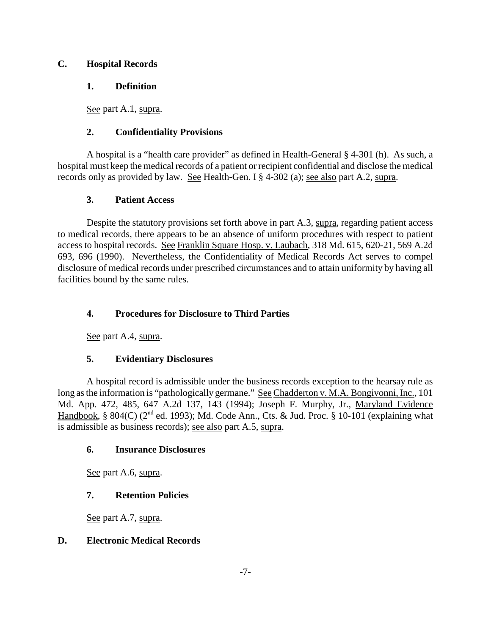### **C. Hospital Records**

# **1. Definition**

See part A.1, supra.

# **2. Confidentiality Provisions**

A hospital is a "health care provider" as defined in Health-General § 4-301 (h). As such, a hospital must keep the medical records of a patient or recipient confidential and disclose the medical records only as provided by law. See Health-Gen. I § 4-302 (a); see also part A.2, supra.

# **3. Patient Access**

Despite the statutory provisions set forth above in part A.3, supra, regarding patient access to medical records, there appears to be an absence of uniform procedures with respect to patient access to hospital records. See Franklin Square Hosp. v. Laubach, 318 Md. 615, 620-21, 569 A.2d 693, 696 (1990). Nevertheless, the Confidentiality of Medical Records Act serves to compel disclosure of medical records under prescribed circumstances and to attain uniformity by having all facilities bound by the same rules.

# **4. Procedures for Disclosure to Third Parties**

See part A.4, supra.

# **5. Evidentiary Disclosures**

A hospital record is admissible under the business records exception to the hearsay rule as long as the information is "pathologically germane." See Chadderton v. M.A. Bongivonni, Inc., 101 Md. App. 472, 485, 647 A.2d 137, 143 (1994); Joseph F. Murphy, Jr., Maryland Evidence Handbook, § 804(C) ( $2<sup>nd</sup>$  ed. 1993); Md. Code Ann., Cts. & Jud. Proc. § 10-101 (explaining what is admissible as business records); see also part A.5, supra.

# **6. Insurance Disclosures**

See part A.6, supra.

# **7. Retention Policies**

See part A.7, supra.

# **D. Electronic Medical Records**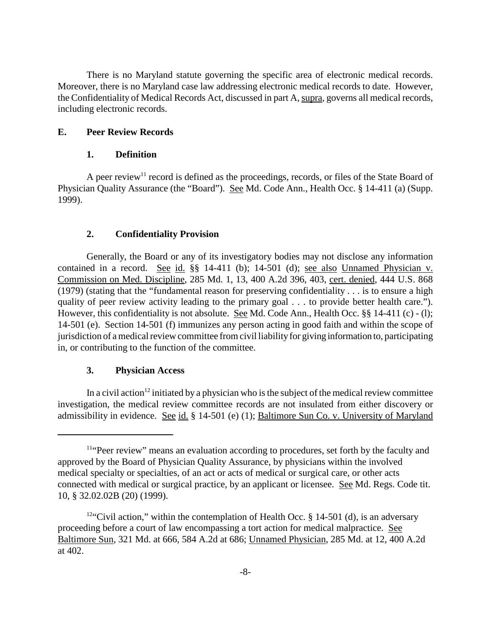There is no Maryland statute governing the specific area of electronic medical records. Moreover, there is no Maryland case law addressing electronic medical records to date. However, the Confidentiality of Medical Records Act, discussed in part A, supra, governs all medical records, including electronic records.

#### **E. Peer Review Records**

#### **1. Definition**

A peer review<sup>11</sup> record is defined as the proceedings, records, or files of the State Board of Physician Quality Assurance (the "Board"). See Md. Code Ann., Health Occ. § 14-411 (a) (Supp. 1999).

### **2. Confidentiality Provision**

Generally, the Board or any of its investigatory bodies may not disclose any information contained in a record. See id. §§ 14-411 (b); 14-501 (d); see also Unnamed Physician v. Commission on Med. Discipline, 285 Md. 1, 13, 400 A.2d 396, 403, cert. denied, 444 U.S. 868 (1979) (stating that the "fundamental reason for preserving confidentiality . . . is to ensure a high quality of peer review activity leading to the primary goal . . . to provide better health care."). However, this confidentiality is not absolute. See Md. Code Ann., Health Occ. §§ 14-411 (c) - (l); 14-501 (e). Section 14-501 (f) immunizes any person acting in good faith and within the scope of jurisdiction of a medical review committee from civil liability for giving information to, participating in, or contributing to the function of the committee.

### **3. Physician Access**

In a civil action<sup>12</sup> initiated by a physician who is the subject of the medical review committee investigation, the medical review committee records are not insulated from either discovery or admissibility in evidence. See id. § 14-501 (e) (1); Baltimore Sun Co. v. University of Maryland

<sup>11&</sup>quot;Peer review" means an evaluation according to procedures, set forth by the faculty and approved by the Board of Physician Quality Assurance, by physicians within the involved medical specialty or specialties, of an act or acts of medical or surgical care, or other acts connected with medical or surgical practice, by an applicant or licensee. See Md. Regs. Code tit. 10, § 32.02.02B (20) (1999).

<sup>&</sup>lt;sup>12"</sup>Civil action," within the contemplation of Health Occ.  $\S$  14-501 (d), is an adversary proceeding before a court of law encompassing a tort action for medical malpractice. See Baltimore Sun, 321 Md. at 666, 584 A.2d at 686; Unnamed Physician, 285 Md. at 12, 400 A.2d at 402.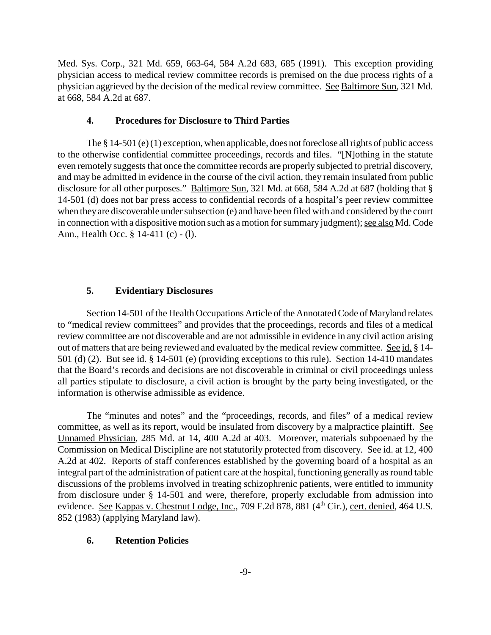Med. Sys. Corp., 321 Md. 659, 663-64, 584 A.2d 683, 685 (1991). This exception providing physician access to medical review committee records is premised on the due process rights of a physician aggrieved by the decision of the medical review committee. See Baltimore Sun, 321 Md. at 668, 584 A.2d at 687.

#### **4. Procedures for Disclosure to Third Parties**

The § 14-501 (e) (1) exception, when applicable, does not foreclose all rights of public access to the otherwise confidential committee proceedings, records and files. "[N]othing in the statute even remotely suggests that once the committee records are properly subjected to pretrial discovery, and may be admitted in evidence in the course of the civil action, they remain insulated from public disclosure for all other purposes." Baltimore Sun, 321 Md. at 668, 584 A.2d at 687 (holding that § 14-501 (d) does not bar press access to confidential records of a hospital's peer review committee when they are discoverable under subsection (e) and have been filed with and considered by the court in connection with a dispositive motion such as a motion for summary judgment); see also Md. Code Ann., Health Occ. § 14-411 (c) - (l).

#### **5. Evidentiary Disclosures**

Section 14-501 of the Health Occupations Article of the Annotated Code of Maryland relates to "medical review committees" and provides that the proceedings, records and files of a medical review committee are not discoverable and are not admissible in evidence in any civil action arising out of matters that are being reviewed and evaluated by the medical review committee. See id. § 14-501 (d) (2). But see id. § 14-501 (e) (providing exceptions to this rule). Section 14-410 mandates that the Board's records and decisions are not discoverable in criminal or civil proceedings unless all parties stipulate to disclosure, a civil action is brought by the party being investigated, or the information is otherwise admissible as evidence.

The "minutes and notes" and the "proceedings, records, and files" of a medical review committee, as well as its report, would be insulated from discovery by a malpractice plaintiff. See Unnamed Physician, 285 Md. at 14, 400 A.2d at 403. Moreover, materials subpoenaed by the Commission on Medical Discipline are not statutorily protected from discovery. See id. at 12, 400 A.2d at 402. Reports of staff conferences established by the governing board of a hospital as an integral part of the administration of patient care at the hospital, functioning generally as round table discussions of the problems involved in treating schizophrenic patients, were entitled to immunity from disclosure under § 14-501 and were, therefore, properly excludable from admission into evidence. See Kappas v. Chestnut Lodge, Inc., 709 F.2d 878, 881 (4<sup>th</sup> Cir.), cert. denied, 464 U.S. 852 (1983) (applying Maryland law).

#### **6. Retention Policies**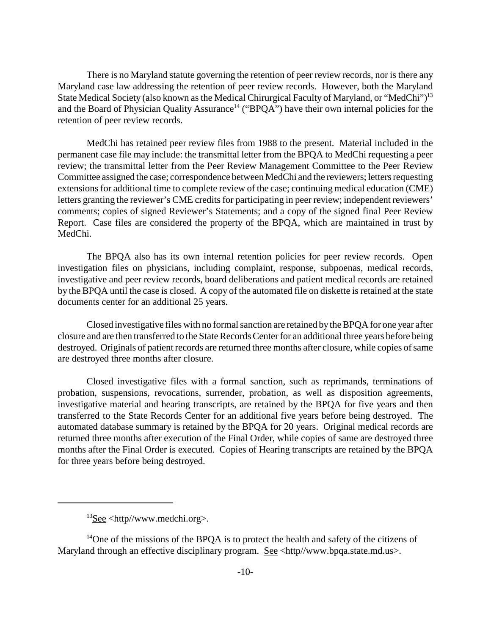There is no Maryland statute governing the retention of peer review records, nor is there any Maryland case law addressing the retention of peer review records. However, both the Maryland State Medical Society (also known as the Medical Chirurgical Faculty of Maryland, or "MedChi")<sup>13</sup> and the Board of Physician Quality Assurance<sup>14</sup> ("BPQA") have their own internal policies for the retention of peer review records.

MedChi has retained peer review files from 1988 to the present. Material included in the permanent case file may include: the transmittal letter from the BPQA to MedChi requesting a peer review; the transmittal letter from the Peer Review Management Committee to the Peer Review Committee assigned the case; correspondence between MedChi and the reviewers; letters requesting extensions for additional time to complete review of the case; continuing medical education (CME) letters granting the reviewer's CME credits for participating in peer review; independent reviewers' comments; copies of signed Reviewer's Statements; and a copy of the signed final Peer Review Report. Case files are considered the property of the BPQA, which are maintained in trust by MedChi.

The BPQA also has its own internal retention policies for peer review records. Open investigation files on physicians, including complaint, response, subpoenas, medical records, investigative and peer review records, board deliberations and patient medical records are retained by the BPQA until the case is closed. A copy of the automated file on diskette is retained at the state documents center for an additional 25 years.

Closed investigative files with no formal sanction are retained by the BPQA for one year after closure and are then transferred to the State Records Center for an additional three years before being destroyed. Originals of patient records are returned three months after closure, while copies of same are destroyed three months after closure.

Closed investigative files with a formal sanction, such as reprimands, terminations of probation, suspensions, revocations, surrender, probation, as well as disposition agreements, investigative material and hearing transcripts, are retained by the BPQA for five years and then transferred to the State Records Center for an additional five years before being destroyed. The automated database summary is retained by the BPQA for 20 years. Original medical records are returned three months after execution of the Final Order, while copies of same are destroyed three months after the Final Order is executed. Copies of Hearing transcripts are retained by the BPQA for three years before being destroyed.

 $13$ See <http//www.medchi.org>.

 $14$ One of the missions of the BPOA is to protect the health and safety of the citizens of Maryland through an effective disciplinary program. See <http//www.bpqa.state.md.us>.